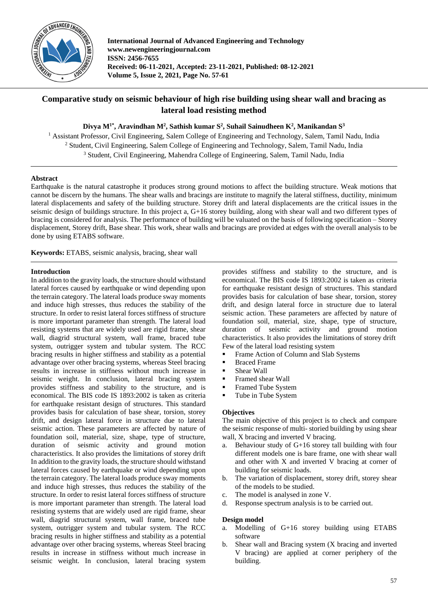

**International Journal of Advanced Engineering and Technology www.newengineeringjournal.com ISSN: 2456-7655 Received: 06-11-2021, Accepted: 23-11-2021, Published: 08-12-2021 Volume 5, Issue 2, 2021, Page No. 57-61**

# **Comparative study on seismic behaviour of high rise building using shear wall and bracing as lateral load resisting method**

**Divya M1\*, Aravindhan M<sup>2</sup> , Sathish kumar S<sup>2</sup> , Suhail Sainudheen K<sup>2</sup> , Manikandan S<sup>3</sup>**

<sup>1</sup> Assistant Professor, Civil Engineering, Salem College of Engineering and Technology, Salem, Tamil Nadu, India <sup>2</sup> Student, Civil Engineering, Salem College of Engineering and Technology, Salem, Tamil Nadu, India <sup>3</sup> Student, Civil Engineering, Mahendra College of Engineering, Salem, Tamil Nadu, India

## **Abstract**

Earthquake is the natural catastrophe it produces strong ground motions to affect the building structure. Weak motions that cannot be discern by the humans. The shear walls and bracings are institute to magnify the lateral stiffness, ductility, minimum lateral displacements and safety of the building structure. Storey drift and lateral displacements are the critical issues in the seismic design of buildings structure. In this project a,  $G+16$  storey building, along with shear wall and two different types of bracing is considered for analysis. The performance of building will be valuated on the basis of following specification – Storey displacement, Storey drift, Base shear. This work, shear walls and bracings are provided at edges with the overall analysis to be done by using ETABS software.

**Keywords:** ETABS, seismic analysis, bracing, shear wall

#### **Introduction**

In addition to the gravity loads, the structure should withstand lateral forces caused by earthquake or wind depending upon the terrain category. The lateral loads produce sway moments and induce high stresses, thus reduces the stability of the structure. In order to resist lateral forces stiffness of structure is more important parameter than strength. The lateral load resisting systems that are widely used are rigid frame, shear wall, diagrid structural system, wall frame, braced tube system, outrigger system and tubular system. The RCC bracing results in higher stiffness and stability as a potential advantage over other bracing systems, whereas Steel bracing results in increase in stiffness without much increase in seismic weight. In conclusion, lateral bracing system provides stiffness and stability to the structure, and is economical. The BIS code IS 1893:2002 is taken as criteria for earthquake resistant design of structures. This standard provides basis for calculation of base shear, torsion, storey drift, and design lateral force in structure due to lateral seismic action. These parameters are affected by nature of foundation soil, material, size, shape, type of structure, duration of seismic activity and ground motion characteristics. It also provides the limitations of storey drift In addition to the gravity loads, the structure should withstand lateral forces caused by earthquake or wind depending upon the terrain category. The lateral loads produce sway moments and induce high stresses, thus reduces the stability of the structure. In order to resist lateral forces stiffness of structure is more important parameter than strength. The lateral load resisting systems that are widely used are rigid frame, shear wall, diagrid structural system, wall frame, braced tube system, outrigger system and tubular system. The RCC bracing results in higher stiffness and stability as a potential advantage over other bracing systems, whereas Steel bracing results in increase in stiffness without much increase in seismic weight. In conclusion, lateral bracing system

provides stiffness and stability to the structure, and is economical. The BIS code IS 1893:2002 is taken as criteria for earthquake resistant design of structures. This standard provides basis for calculation of base shear, torsion, storey drift, and design lateral force in structure due to lateral seismic action. These parameters are affected by nature of foundation soil, material, size, shape, type of structure, duration of seismic activity and ground motion characteristics. It also provides the limitations of storey drift Few of the lateral load resisting system

- Frame Action of Column and Slab Systems
- **Braced Frame**
- **Shear Wall**
- **Framed shear Wall**
- **Framed Tube System**
- Tube in Tube System

## **Objectives**

The main objective of this project is to check and compare the seismic response of multi- storied building by using shear wall, X bracing and inverted V bracing.

- a. Behaviour study of G+16 storey tall building with four different models one is bare frame, one with shear wall and other with X and inverted V bracing at corner of building for seismic loads.
- b. The variation of displacement, storey drift, storey shear of the models to be studied.
- c. The model is analysed in zone V.
- d. Response spectrum analysis is to be carried out.

## **Design model**

- a. Modelling of G+16 storey building using ETABS software
- b. Shear wall and Bracing system (X bracing and inverted V bracing) are applied at corner periphery of the building.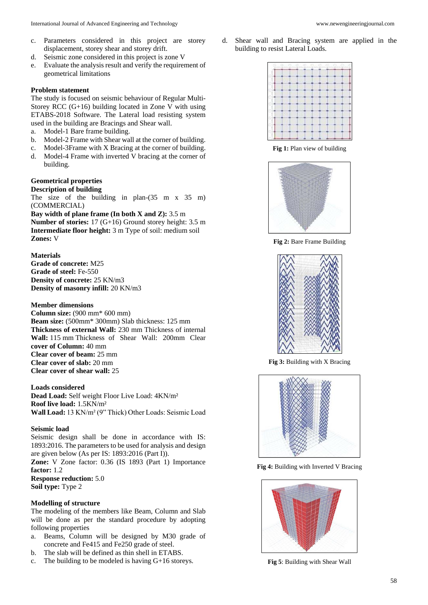- c. Parameters considered in this project are storey displacement, storey shear and storey drift.
- d. Seismic zone considered in this project is zone V
- e. Evaluate the analysis result and verify the requirement of geometrical limitations

## **Problem statement**

The study is focused on seismic behaviour of Regular Multi-Storey RCC (G+16) building located in Zone V with using ETABS-2018 Software. The Lateral load resisting system used in the building are Bracings and Shear wall.

- a. Model-1 Bare frame building.
- b. Model-2 Frame with Shear wall at the corner of building.
- c. Model-3Frame with X Bracing at the corner of building.
- d. Model-4 Frame with inverted V bracing at the corner of building.

#### **Geometrical properties Description of building**

The size of the building in plan-(35 m x 35 m) (COMMERCIAL)

**Bay width of plane frame (In both X and Z):** 3.5 m **Number of stories:** 17 (G+16) Ground storey height: 3.5 m **Intermediate floor height:** 3 m Type of soil: medium soil **Zones:** V

**Materials Grade of concrete:** M25 **Grade of steel:** Fe-550 **Density of concrete:** 25 KN/m3 **Density of masonry infill:** 20 KN/m3

# **Member dimensions**

**Column size:** (900 mm\* 600 mm) **Beam size:** (500mm\* 300mm) Slab thickness: 125 mm **Thickness of external Wall:** 230 mm Thickness of internal **Wall:** 115 mm Thickness of Shear Wall: 200mm Clear **cover of Column:** 40 mm **Clear cover of beam:** 25 mm **Clear cover of slab:** 20 mm **Clear cover of shear wall:** 25

**Loads considered**

**Dead Load:** Self weight Floor Live Load: 4KN/m² **Roof live load:** 1.5KN/m² **Wall Load:** 13 KN/m² (9" Thick) Other Loads: Seismic Load

## **Seismic load**

Seismic design shall be done in accordance with IS: 1893:2016. The parameters to be used for analysis and design are given below (As per IS: 1893:2016 (Part I)). **Zone:** V Zone factor: 0.36 (IS 1893 (Part 1) Importance **factor:** 1.2 **Response reduction:** 5.0 **Soil type:** Type 2

## **Modelling of structure**

The modeling of the members like Beam, Column and Slab will be done as per the standard procedure by adopting following properties

- a. Beams, Column will be designed by M30 grade of concrete and Fe415 and Fe250 grade of steel.
- b. The slab will be defined as thin shell in ETABS.
- c. The building to be modeled is having G+16 storeys.

d. Shear wall and Bracing system are applied in the building to resist Lateral Loads.



**Fig 1:** Plan view of building



**Fig 2:** Bare Frame Building



**Fig 3:** Building with X Bracing



**Fig 4:** Building with Inverted V Bracing



**Fig 5**: Building with Shear Wall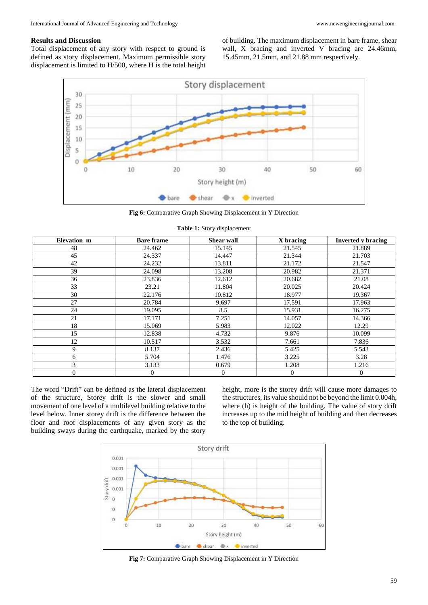#### **Results and Discussion**

Total displacement of any story with respect to ground is defined as story displacement. Maximum permissible story displacement is limited to H/500, where H is the total height of building. The maximum displacement in bare frame, shear wall, X bracing and inverted V bracing are 24.46mm, 15.45mm, 21.5mm, and 21.88 mm respectively.



**Fig 6:** Comparative Graph Showing Displacement in Y Direction

| Elevation m      | <b>Bare frame</b> | <b>Shear wall</b> | X bracing    | <b>Inverted v bracing</b> |  |  |  |
|------------------|-------------------|-------------------|--------------|---------------------------|--|--|--|
| 48               | 24.462            | 15.145            | 21.545       | 21.889                    |  |  |  |
| 45               | 24.337            | 14.447            | 21.344       | 21.703                    |  |  |  |
| 42               | 24.232            | 13.811            | 21.172       | 21.547                    |  |  |  |
| 39               | 24.098            | 13.208            | 20.982       | 21.371                    |  |  |  |
| 36               | 23.836            | 12.612            | 20.682       | 21.08                     |  |  |  |
| 33               | 23.21             | 11.804            | 20.025       | 20.424                    |  |  |  |
| 30               | 22.176            | 10.812            | 18.977       | 19.367                    |  |  |  |
| 27               | 20.784            | 9.697             | 17.591       | 17.963                    |  |  |  |
| 24               | 19.095            | 8.5               | 15.931       | 16.275                    |  |  |  |
| 21               | 17.171            | 7.251             | 14.057       | 14.366                    |  |  |  |
| 18               | 15.069            | 5.983             | 12.022       | 12.29                     |  |  |  |
| 15               | 12.838            | 4.732             | 9.876        | 10.099                    |  |  |  |
| 12               | 10.517            | 3.532             | 7.661        | 7.836                     |  |  |  |
| 9                | 8.137             | 2.436             | 5.425        | 5.543                     |  |  |  |
| 6                | 5.704             | 1.476             | 3.225        | 3.28                      |  |  |  |
| 3                | 3.133             | 0.679             | 1.208        | 1.216                     |  |  |  |
| $\boldsymbol{0}$ | $\mathbf{0}$      | $\mathbf{0}$      | $\mathbf{0}$ | $\boldsymbol{0}$          |  |  |  |

**Table 1:** Story displacement

The word "Drift" can be defined as the lateral displacement of the structure, Storey drift is the slower and small movement of one level of a multilevel building relative to the level below. Inner storey drift is the difference between the floor and roof displacements of any given story as the building sways during the earthquake, marked by the story

height, more is the storey drift will cause more damages to the structures, its value should not be beyond the limit 0.004h, where (h) is height of the building. The value of story drift increases up to the mid height of building and then decreases to the top of building.



**Fig 7:** Comparative Graph Showing Displacement in Y Direction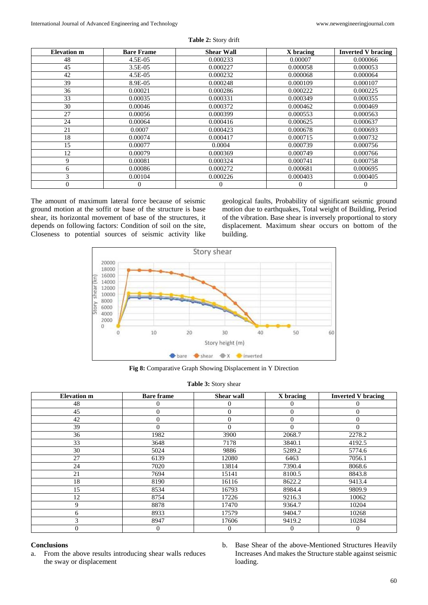| <b>Elevation</b> m | <b>Bare Frame</b> | <b>Shear Wall</b> | X bracing | <b>Inverted V bracing</b> |
|--------------------|-------------------|-------------------|-----------|---------------------------|
| 48                 | 4.5E-05           | 0.000233          | 0.00007   | 0.000066                  |
| 45                 | $3.5E-0.5$        | 0.000227          | 0.000058  | 0.000053                  |
| 42                 | 4.5E-05           | 0.000232          | 0.000068  | 0.000064                  |
| 39                 | 8.9E-05           | 0.000248          | 0.000109  | 0.000107                  |
| 36                 | 0.00021           | 0.000286          | 0.000222  | 0.000225                  |
| 33                 | 0.00035           | 0.000331          | 0.000349  | 0.000355                  |
| 30                 | 0.00046           | 0.000372          | 0.000462  | 0.000469                  |
| 27                 | 0.00056           | 0.000399          | 0.000553  | 0.000563                  |
| 24                 | 0.00064           | 0.000416          | 0.000625  | 0.000637                  |
| 21                 | 0.0007            | 0.000423          | 0.000678  | 0.000693                  |
| 18                 | 0.00074           | 0.000417          | 0.000715  | 0.000732                  |
| 15                 | 0.00077           | 0.0004            | 0.000739  | 0.000756                  |
| 12                 | 0.00079           | 0.000369          | 0.000749  | 0.000766                  |
| 9                  | 0.00081           | 0.000324          | 0.000741  | 0.000758                  |
| 6                  | 0.00086           | 0.000272          | 0.000681  | 0.000695                  |
| 3                  | 0.00104           | 0.000226          | 0.000403  | 0.000405                  |
| $\theta$           | $\mathbf{0}$      | $\mathbf{0}$      | $\Omega$  | $\theta$                  |

**Table 2:** Story drift

The amount of maximum lateral force because of seismic ground motion at the soffit or base of the structure is base shear, its horizontal movement of base of the structures, it depends on following factors: Condition of soil on the site, Closeness to potential sources of seismic activity like

geological faults, Probability of significant seismic ground motion due to earthquakes, Total weight of Building, Period of the vibration. Base shear is inversely proportional to story displacement. Maximum shear occurs on bottom of the building.



**Fig 8:** Comparative Graph Showing Displacement in Y Direction

| <b>Elevation m</b> | <b>Bare frame</b> | <b>Shear wall</b> | X bracing | <b>Inverted V bracing</b> |
|--------------------|-------------------|-------------------|-----------|---------------------------|
| 48                 | $\Omega$          | $\mathbf{0}$      | 0         | 0                         |
| 45                 | $\Omega$          | $\theta$          | $\Omega$  | $\overline{0}$            |
| 42                 | $\Omega$          | $\theta$          | $\theta$  | $\overline{0}$            |
| 39                 | $\Omega$          | $\Omega$          | $\Omega$  | $\Omega$                  |
| 36                 | 1982              | 3900              | 2068.7    | 2278.2                    |
| 33                 | 3648              | 7178              | 3840.1    | 4192.5                    |
| 30                 | 5024              | 9886              | 5289.2    | 5774.6                    |
| 27                 | 6139              | 12080             | 6463      | 7056.1                    |
| 24                 | 7020              | 13814             | 7390.4    | 8068.6                    |
| 21                 | 7694              | 15141             | 8100.5    | 8843.8                    |
| 18                 | 8190              | 16116             | 8622.2    | 9413.4                    |
| 15                 | 8534              | 16793             | 8984.4    | 9809.9                    |
| 12                 | 8754              | 17226             | 9216.3    | 10062                     |
| 9                  | 8878              | 17470             | 9364.7    | 10204                     |
| 6                  | 8933              | 17579             | 9404.7    | 10268                     |
| 3                  | 8947              | 17606             | 9419.2    | 10284                     |
| $\overline{0}$     | $\theta$          | $\mathbf{0}$      | 0         | $\theta$                  |

#### **Table 3:** Story shear

## **Conclusions**

- a. From the above results introducing shear walls reduces the sway or displacement
- b. Base Shear of the above-Mentioned Structures Heavily Increases And makes the Structure stable against seismic loading.